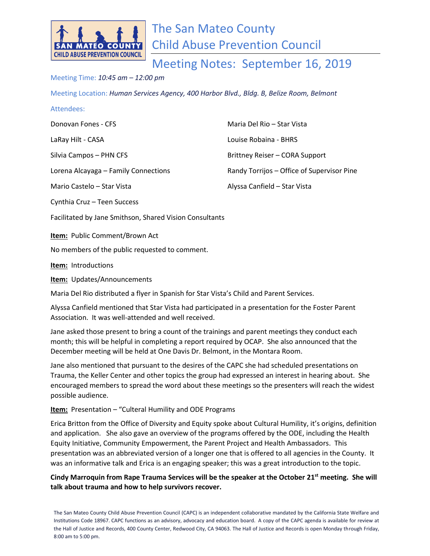

Attendees:

Meeting Notes: September 16, 2019

## Meeting Time: *10:45 am – 12:00 pm*

Meeting Location: *Human Services Agency, 400 Harbor Blvd., Bldg. B, Belize Room, Belmont*

| Attendees:                           |                                            |
|--------------------------------------|--------------------------------------------|
| Donovan Fones - CFS                  | Maria Del Rio – Star Vista                 |
| LaRay Hilt - CASA                    | Louise Robaina - BHRS                      |
| Silvia Campos - PHN CFS              | Brittney Reiser - CORA Support             |
| Lorena Alcayaga - Family Connections | Randy Torrijos - Office of Supervisor Pine |
| Mario Castelo – Star Vista           | Alyssa Canfield - Star Vista               |
| Cynthia Cruz - Teen Success          |                                            |

Facilitated by Jane Smithson, Shared Vision Consultants

**Item:** Public Comment/Brown Act

No members of the public requested to comment.

**Item:** Introductions

**Item:** Updates/Announcements

Maria Del Rio distributed a flyer in Spanish for Star Vista's Child and Parent Services.

Alyssa Canfield mentioned that Star Vista had participated in a presentation for the Foster Parent Association. It was well-attended and well received.

Jane asked those present to bring a count of the trainings and parent meetings they conduct each month; this will be helpful in completing a report required by OCAP. She also announced that the December meeting will be held at One Davis Dr. Belmont, in the Montara Room.

Jane also mentioned that pursuant to the desires of the CAPC she had scheduled presentations on Trauma, the Keller Center and other topics the group had expressed an interest in hearing about. She encouraged members to spread the word about these meetings so the presenters will reach the widest possible audience.

**Item:** Presentation – "Culteral Humility and ODE Programs

Erica Britton from the Office of Diversity and Equity spoke about Cultural Humility, it's origins, definition and application. She also gave an overview of the programs offered by the ODE, including the Health Equity Initiative, Community Empowerment, the Parent Project and Health Ambassadors. This presentation was an abbreviated version of a longer one that is offered to all agencies in the County. It was an informative talk and Erica is an engaging speaker; this was a great introduction to the topic.

**Cindy Marroquin from Rape Trauma Services will be the speaker at the October 21st meeting. She will talk about trauma and how to help survivors recover.**

The San Mateo County Child Abuse Prevention Council (CAPC) is an independent collaborative mandated by the California State Welfare and Institutions Code 18967. CAPC functions as an advisory, advocacy and education board. A copy of the CAPC agenda is available for review at the Hall of Justice and Records, 400 County Center, Redwood City, CA 94063. The Hall of Justice and Records is open Monday through Friday, 8:00 am to 5:00 pm.